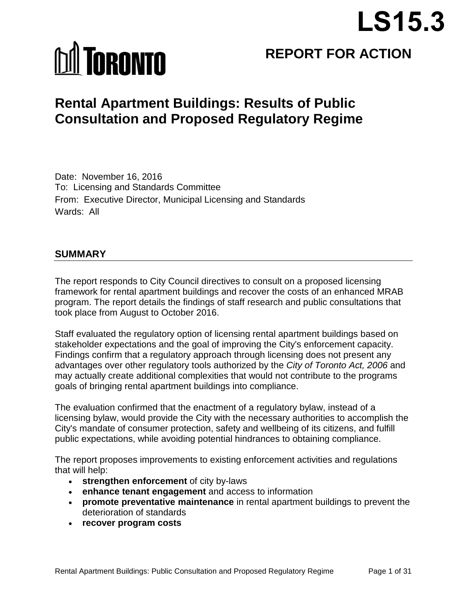# **LS15.3**

# **MI TORONTO**

# **REPORT FOR ACTION**

## **Rental Apartment Buildings: Results of Public Consultation and Proposed Regulatory Regime**

Date: November 16, 2016 To: Licensing and Standards Committee From: Executive Director, Municipal Licensing and Standards Wards: All

#### **SUMMARY**

The report responds to City Council directives to consult on a proposed licensing framework for rental apartment buildings and recover the costs of an enhanced MRAB program. The report details the findings of staff research and public consultations that took place from August to October 2016.

Staff evaluated the regulatory option of licensing rental apartment buildings based on stakeholder expectations and the goal of improving the City's enforcement capacity. Findings confirm that a regulatory approach through licensing does not present any advantages over other regulatory tools authorized by the *City of Toronto Act, 2006* and may actually create additional complexities that would not contribute to the programs goals of bringing rental apartment buildings into compliance.

The evaluation confirmed that the enactment of a regulatory bylaw, instead of a licensing bylaw, would provide the City with the necessary authorities to accomplish the City's mandate of consumer protection, safety and wellbeing of its citizens, and fulfill public expectations, while avoiding potential hindrances to obtaining compliance.

The report proposes improvements to existing enforcement activities and regulations that will help:

- **strengthen enforcement** of city by-laws
- **enhance tenant engagement** and access to information
- **promote preventative maintenance** in rental apartment buildings to prevent the deterioration of standards
- **recover program costs**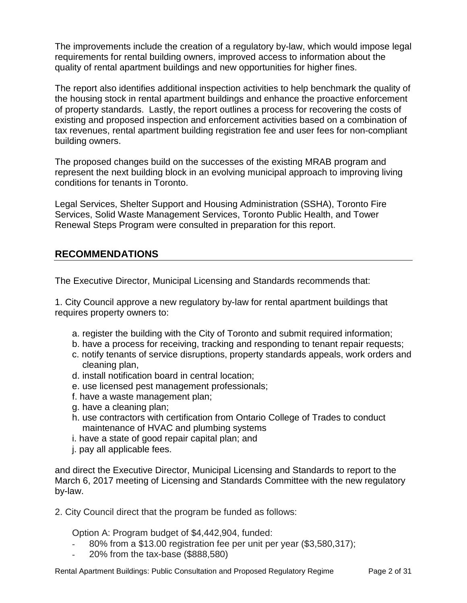The improvements include the creation of a regulatory by-law, which would impose legal requirements for rental building owners, improved access to information about the quality of rental apartment buildings and new opportunities for higher fines.

The report also identifies additional inspection activities to help benchmark the quality of the housing stock in rental apartment buildings and enhance the proactive enforcement of property standards. Lastly, the report outlines a process for recovering the costs of existing and proposed inspection and enforcement activities based on a combination of tax revenues, rental apartment building registration fee and user fees for non-compliant building owners.

The proposed changes build on the successes of the existing MRAB program and represent the next building block in an evolving municipal approach to improving living conditions for tenants in Toronto.

Legal Services, Shelter Support and Housing Administration (SSHA), Toronto Fire Services, Solid Waste Management Services, Toronto Public Health, and Tower Renewal Steps Program were consulted in preparation for this report.

#### **RECOMMENDATIONS**

The Executive Director, Municipal Licensing and Standards recommends that:

1. City Council approve a new regulatory by-law for rental apartment buildings that requires property owners to:

- a. register the building with the City of Toronto and submit required information;
- b. have a process for receiving, tracking and responding to tenant repair requests;
- c. notify tenants of service disruptions, property standards appeals, work orders and cleaning plan,
- d. install notification board in central location;
- e. use licensed pest management professionals;
- f. have a waste management plan;
- g. have a cleaning plan;
- h. use contractors with certification from Ontario College of Trades to conduct maintenance of HVAC and plumbing systems
- i. have a state of good repair capital plan; and
- j. pay all applicable fees.

and direct the Executive Director, Municipal Licensing and Standards to report to the March 6, 2017 meeting of Licensing and Standards Committee with the new regulatory by-law.

2. City Council direct that the program be funded as follows:

Option A: Program budget of \$4,442,904, funded:

- 80% from a \$13.00 registration fee per unit per year (\$3,580,317);
- 20% from the tax-base (\$888,580)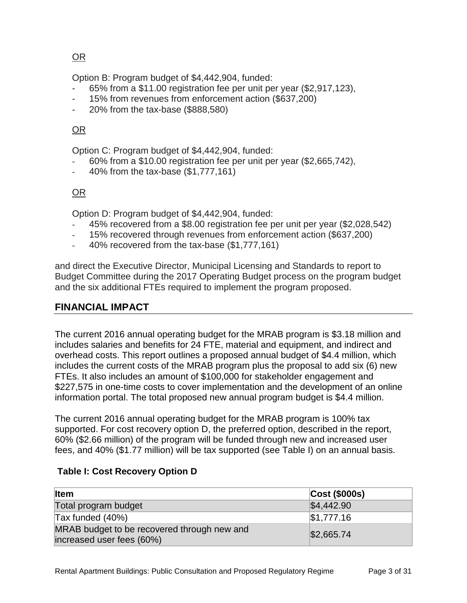OR

Option B: Program budget of \$4,442,904, funded:

- 65% from a \$11.00 registration fee per unit per year (\$2,917,123),
- 15% from revenues from enforcement action (\$637,200)
- 20% from the tax-base (\$888,580)

#### OR

Option C: Program budget of \$4,442,904, funded:

- 60% from a \$10.00 registration fee per unit per year (\$2,665,742),
- 40% from the tax-base (\$1,777,161)

#### OR

Option D: Program budget of \$4,442,904, funded:

- 45% recovered from a \$8.00 registration fee per unit per year (\$2,028,542)
- 15% recovered through revenues from enforcement action (\$637,200)
- 40% recovered from the tax-base (\$1,777,161)

and direct the Executive Director, Municipal Licensing and Standards to report to Budget Committee during the 2017 Operating Budget process on the program budget and the six additional FTEs required to implement the program proposed.

#### **FINANCIAL IMPACT**

The current 2016 annual operating budget for the MRAB program is \$3.18 million and includes salaries and benefits for 24 FTE, material and equipment, and indirect and overhead costs. This report outlines a proposed annual budget of \$4.4 million, which includes the current costs of the MRAB program plus the proposal to add six (6) new FTEs. It also includes an amount of \$100,000 for stakeholder engagement and \$227,575 in one-time costs to cover implementation and the development of an online information portal. The total proposed new annual program budget is \$4.4 million.

The current 2016 annual operating budget for the MRAB program is 100% tax supported. For cost recovery option D, the preferred option, described in the report, 60% (\$2.66 million) of the program will be funded through new and increased user fees, and 40% (\$1.77 million) will be tax supported (see Table I) on an annual basis.

| <b>Item</b>                                                              | Cost (\$000s) |
|--------------------------------------------------------------------------|---------------|
| Total program budget                                                     | \$4,442.90    |
| $\textsf{Tax}$ funded (40%)                                              | \$1,777.16    |
| MRAB budget to be recovered through new and<br>increased user fees (60%) | \$2,665.74    |

#### **Table I: Cost Recovery Option D**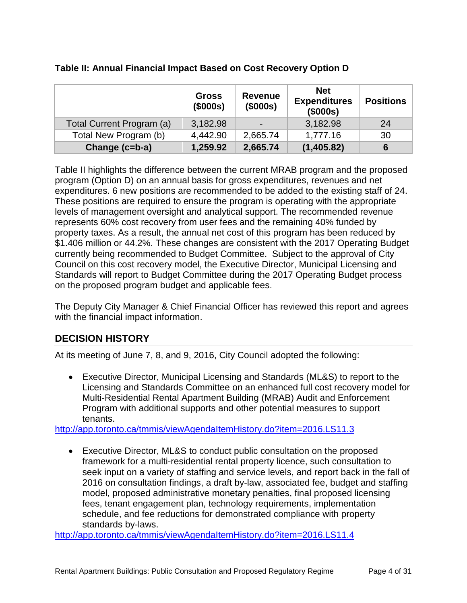|                           | <b>Gross</b><br>(\$000s) | <b>Revenue</b><br>(\$000s) | <b>Net</b><br><b>Expenditures</b><br>(\$000s) | <b>Positions</b> |
|---------------------------|--------------------------|----------------------------|-----------------------------------------------|------------------|
| Total Current Program (a) | 3,182.98                 |                            | 3,182.98                                      | 24               |
| Total New Program (b)     | 4,442.90                 | 2,665.74                   | 1,777.16                                      | 30               |
| Change (c=b-a)            | 1,259.92                 | 2,665.74                   | (1,405.82)                                    | 6                |

#### **Table II: Annual Financial Impact Based on Cost Recovery Option D**

Table II highlights the difference between the current MRAB program and the proposed program (Option D) on an annual basis for gross expenditures, revenues and net expenditures. 6 new positions are recommended to be added to the existing staff of 24. These positions are required to ensure the program is operating with the appropriate levels of management oversight and analytical support. The recommended revenue represents 60% cost recovery from user fees and the remaining 40% funded by property taxes. As a result, the annual net cost of this program has been reduced by \$1.406 million or 44.2%. These changes are consistent with the 2017 Operating Budget currently being recommended to Budget Committee. Subject to the approval of City Council on this cost recovery model, the Executive Director, Municipal Licensing and Standards will report to Budget Committee during the 2017 Operating Budget process on the proposed program budget and applicable fees.

The Deputy City Manager & Chief Financial Officer has reviewed this report and agrees with the financial impact information.

#### **DECISION HISTORY**

At its meeting of June 7, 8, and 9, 2016, City Council adopted the following:

• Executive Director, Municipal Licensing and Standards (ML&S) to report to the Licensing and Standards Committee on an enhanced full cost recovery model for Multi-Residential Rental Apartment Building (MRAB) Audit and Enforcement Program with additional supports and other potential measures to support tenants.

<http://app.toronto.ca/tmmis/viewAgendaItemHistory.do?item=2016.LS11.3>

• Executive Director, ML&S to conduct public consultation on the proposed framework for a multi-residential rental property licence, such consultation to seek input on a variety of staffing and service levels, and report back in the fall of 2016 on consultation findings, a draft by-law, associated fee, budget and staffing model, proposed administrative monetary penalties, final proposed licensing fees, tenant engagement plan, technology requirements, implementation schedule, and fee reductions for demonstrated compliance with property standards by-laws.

<http://app.toronto.ca/tmmis/viewAgendaItemHistory.do?item=2016.LS11.4>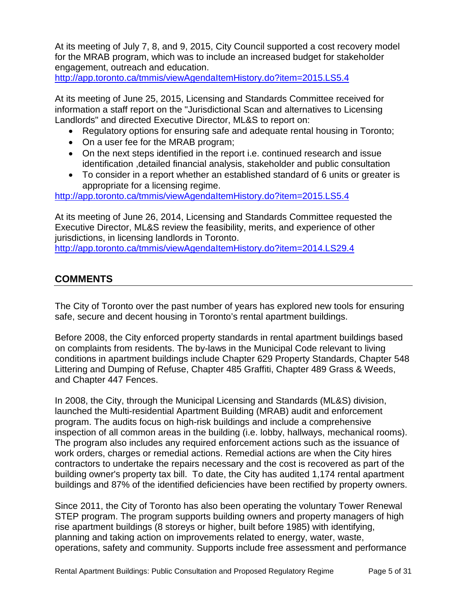At its meeting of July 7, 8, and 9, 2015, City Council supported a cost recovery model for the MRAB program, which was to include an increased budget for stakeholder engagement, outreach and education.

<http://app.toronto.ca/tmmis/viewAgendaItemHistory.do?item=2015.LS5.4>

At its meeting of June 25, 2015, Licensing and Standards Committee received for information a staff report on the "Jurisdictional Scan and alternatives to Licensing Landlords" and directed Executive Director, ML&S to report on:

- Regulatory options for ensuring safe and adequate rental housing in Toronto;
- On a user fee for the MRAB program;
- On the next steps identified in the report i.e. continued research and issue identification ,detailed financial analysis, stakeholder and public consultation
- To consider in a report whether an established standard of 6 units or greater is appropriate for a licensing regime.

<http://app.toronto.ca/tmmis/viewAgendaItemHistory.do?item=2015.LS5.4>

At its meeting of June 26, 2014, Licensing and Standards Committee requested the Executive Director, ML&S review the feasibility, merits, and experience of other jurisdictions, in licensing landlords in Toronto.

<http://app.toronto.ca/tmmis/viewAgendaItemHistory.do?item=2014.LS29.4>

#### **COMMENTS**

The City of Toronto over the past number of years has explored new tools for ensuring safe, secure and decent housing in Toronto's rental apartment buildings.

Before 2008, the City enforced property standards in rental apartment buildings based on complaints from residents. The by-laws in the Municipal Code relevant to living conditions in apartment buildings include Chapter 629 Property Standards, Chapter 548 Littering and Dumping of Refuse, Chapter 485 Graffiti, Chapter 489 Grass & Weeds, and Chapter 447 Fences.

In 2008, the City, through the Municipal Licensing and Standards (ML&S) division, launched the Multi-residential Apartment Building (MRAB) audit and enforcement program. The audits focus on high-risk buildings and include a comprehensive inspection of all common areas in the building (i.e. lobby, hallways, mechanical rooms). The program also includes any required enforcement actions such as the issuance of work orders, charges or remedial actions. Remedial actions are when the City hires contractors to undertake the repairs necessary and the cost is recovered as part of the building owner's property tax bill. To date, the City has audited 1,174 rental apartment buildings and 87% of the identified deficiencies have been rectified by property owners.

Since 2011, the City of Toronto has also been operating the voluntary Tower Renewal STEP program. The program supports building owners and property managers of high rise apartment buildings (8 storeys or higher, built before 1985) with identifying, planning and taking action on improvements related to energy, water, waste, operations, safety and community. Supports include free assessment and performance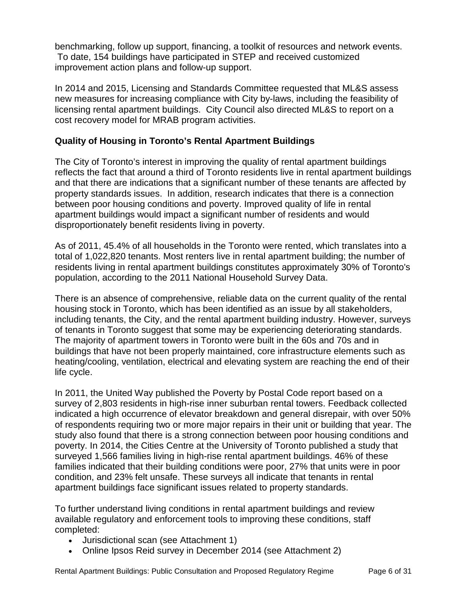benchmarking, follow up support, financing, a toolkit of resources and network events. To date, 154 buildings have participated in STEP and received customized improvement action plans and follow-up support.

In 2014 and 2015, Licensing and Standards Committee requested that ML&S assess new measures for increasing compliance with City by-laws, including the feasibility of licensing rental apartment buildings. City Council also directed ML&S to report on a cost recovery model for MRAB program activities.

#### **Quality of Housing in Toronto's Rental Apartment Buildings**

The City of Toronto's interest in improving the quality of rental apartment buildings reflects the fact that around a third of Toronto residents live in rental apartment buildings and that there are indications that a significant number of these tenants are affected by property standards issues. In addition, research indicates that there is a connection between poor housing conditions and poverty. Improved quality of life in rental apartment buildings would impact a significant number of residents and would disproportionately benefit residents living in poverty.

As of 2011, 45.4% of all households in the Toronto were rented, which translates into a total of 1,022,820 tenants. Most renters live in rental apartment building; the number of residents living in rental apartment buildings constitutes approximately 30% of Toronto's population, according to the 2011 National Household Survey Data.

There is an absence of comprehensive, reliable data on the current quality of the rental housing stock in Toronto, which has been identified as an issue by all stakeholders, including tenants, the City, and the rental apartment building industry. However, surveys of tenants in Toronto suggest that some may be experiencing deteriorating standards. The majority of apartment towers in Toronto were built in the 60s and 70s and in buildings that have not been properly maintained, core infrastructure elements such as heating/cooling, ventilation, electrical and elevating system are reaching the end of their life cycle.

In 2011, the United Way published the Poverty by Postal Code report based on a survey of 2,803 residents in high-rise inner suburban rental towers. Feedback collected indicated a high occurrence of elevator breakdown and general disrepair, with over 50% of respondents requiring two or more major repairs in their unit or building that year. The study also found that there is a strong connection between poor housing conditions and poverty. In 2014, the Cities Centre at the University of Toronto published a study that surveyed 1,566 families living in high-rise rental apartment buildings. 46% of these families indicated that their building conditions were poor, 27% that units were in poor condition, and 23% felt unsafe. These surveys all indicate that tenants in rental apartment buildings face significant issues related to property standards.

To further understand living conditions in rental apartment buildings and review available regulatory and enforcement tools to improving these conditions, staff completed:

- Jurisdictional scan (see Attachment 1)
- Online Ipsos Reid survey in December 2014 (see Attachment 2)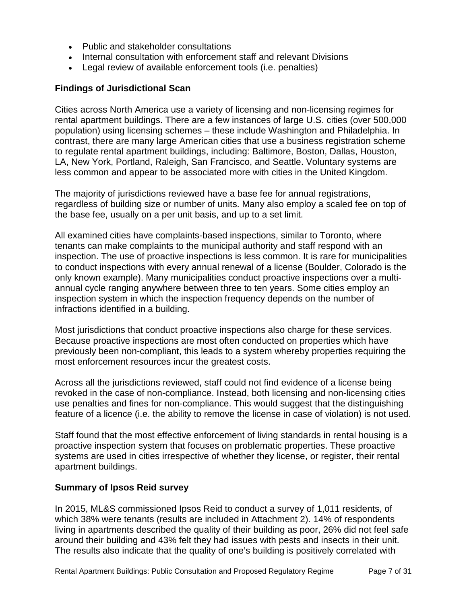- Public and stakeholder consultations
- Internal consultation with enforcement staff and relevant Divisions
- Legal review of available enforcement tools (i.e. penalties)

#### **Findings of Jurisdictional Scan**

Cities across North America use a variety of licensing and non-licensing regimes for rental apartment buildings. There are a few instances of large U.S. cities (over 500,000 population) using licensing schemes – these include Washington and Philadelphia. In contrast, there are many large American cities that use a business registration scheme to regulate rental apartment buildings, including: Baltimore, Boston, Dallas, Houston, LA, New York, Portland, Raleigh, San Francisco, and Seattle. Voluntary systems are less common and appear to be associated more with cities in the United Kingdom.

The majority of jurisdictions reviewed have a base fee for annual registrations, regardless of building size or number of units. Many also employ a scaled fee on top of the base fee, usually on a per unit basis, and up to a set limit.

All examined cities have complaints-based inspections, similar to Toronto, where tenants can make complaints to the municipal authority and staff respond with an inspection. The use of proactive inspections is less common. It is rare for municipalities to conduct inspections with every annual renewal of a license (Boulder, Colorado is the only known example). Many municipalities conduct proactive inspections over a multiannual cycle ranging anywhere between three to ten years. Some cities employ an inspection system in which the inspection frequency depends on the number of infractions identified in a building.

Most jurisdictions that conduct proactive inspections also charge for these services. Because proactive inspections are most often conducted on properties which have previously been non-compliant, this leads to a system whereby properties requiring the most enforcement resources incur the greatest costs.

Across all the jurisdictions reviewed, staff could not find evidence of a license being revoked in the case of non-compliance. Instead, both licensing and non-licensing cities use penalties and fines for non-compliance. This would suggest that the distinguishing feature of a licence (i.e. the ability to remove the license in case of violation) is not used.

Staff found that the most effective enforcement of living standards in rental housing is a proactive inspection system that focuses on problematic properties. These proactive systems are used in cities irrespective of whether they license, or register, their rental apartment buildings.

#### **Summary of Ipsos Reid survey**

In 2015, ML&S commissioned Ipsos Reid to conduct a survey of 1,011 residents, of which 38% were tenants (results are included in Attachment 2). 14% of respondents living in apartments described the quality of their building as poor, 26% did not feel safe around their building and 43% felt they had issues with pests and insects in their unit. The results also indicate that the quality of one's building is positively correlated with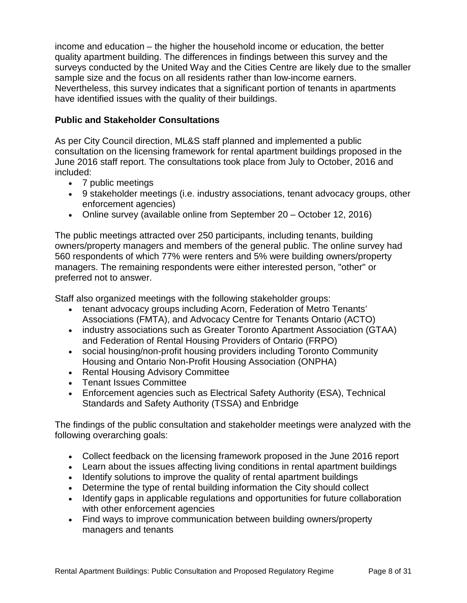income and education – the higher the household income or education, the better quality apartment building. The differences in findings between this survey and the surveys conducted by the United Way and the Cities Centre are likely due to the smaller sample size and the focus on all residents rather than low-income earners. Nevertheless, this survey indicates that a significant portion of tenants in apartments have identified issues with the quality of their buildings.

#### **Public and Stakeholder Consultations**

As per City Council direction, ML&S staff planned and implemented a public consultation on the licensing framework for rental apartment buildings proposed in the June 2016 staff report. The consultations took place from July to October, 2016 and included:

- 7 public meetings
- 9 stakeholder meetings (i.e. industry associations, tenant advocacy groups, other enforcement agencies)
- Online survey (available online from September 20 October 12, 2016)

The public meetings attracted over 250 participants, including tenants, building owners/property managers and members of the general public. The online survey had 560 respondents of which 77% were renters and 5% were building owners/property managers. The remaining respondents were either interested person, "other" or preferred not to answer.

Staff also organized meetings with the following stakeholder groups:

- tenant advocacy groups including Acorn, Federation of Metro Tenants' Associations (FMTA), and Advocacy Centre for Tenants Ontario (ACTO)
- industry associations such as Greater Toronto Apartment Association (GTAA) and Federation of Rental Housing Providers of Ontario (FRPO)
- social housing/non-profit housing providers including Toronto Community Housing and Ontario Non-Profit Housing Association (ONPHA)
- Rental Housing Advisory Committee
- Tenant Issues Committee
- Enforcement agencies such as Electrical Safety Authority (ESA), Technical Standards and Safety Authority (TSSA) and Enbridge

The findings of the public consultation and stakeholder meetings were analyzed with the following overarching goals:

- Collect feedback on the licensing framework proposed in the June 2016 report
- Learn about the issues affecting living conditions in rental apartment buildings
- Identify solutions to improve the quality of rental apartment buildings
- Determine the type of rental building information the City should collect
- Identify gaps in applicable regulations and opportunities for future collaboration with other enforcement agencies
- Find ways to improve communication between building owners/property managers and tenants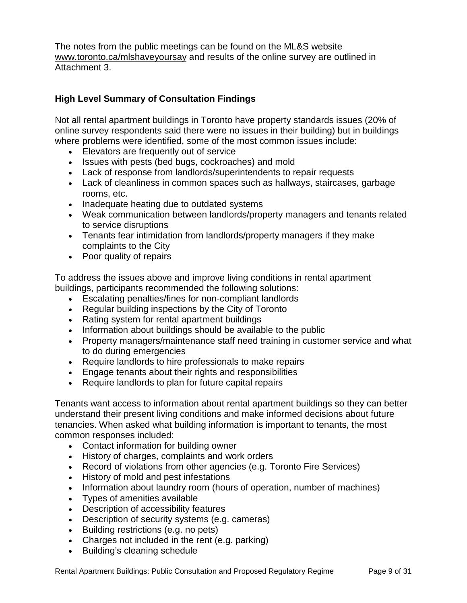The notes from the public meetings can be found on the ML&S website www.toronto.ca/mlshaveyoursay and results of the online survey are outlined in Attachment 3.

#### **High Level Summary of Consultation Findings**

Not all rental apartment buildings in Toronto have property standards issues (20% of online survey respondents said there were no issues in their building) but in buildings where problems were identified, some of the most common issues include:

- Elevators are frequently out of service
- Issues with pests (bed bugs, cockroaches) and mold
- Lack of response from landlords/superintendents to repair requests
- Lack of cleanliness in common spaces such as hallways, staircases, garbage rooms, etc.
- Inadequate heating due to outdated systems
- Weak communication between landlords/property managers and tenants related to service disruptions
- Tenants fear intimidation from landlords/property managers if they make complaints to the City
- Poor quality of repairs

To address the issues above and improve living conditions in rental apartment buildings, participants recommended the following solutions:

- Escalating penalties/fines for non-compliant landlords
- Regular building inspections by the City of Toronto
- Rating system for rental apartment buildings
- Information about buildings should be available to the public
- Property managers/maintenance staff need training in customer service and what to do during emergencies
- Require landlords to hire professionals to make repairs
- Engage tenants about their rights and responsibilities
- Require landlords to plan for future capital repairs

Tenants want access to information about rental apartment buildings so they can better understand their present living conditions and make informed decisions about future tenancies. When asked what building information is important to tenants, the most common responses included:

- Contact information for building owner
- History of charges, complaints and work orders
- Record of violations from other agencies (e.g. Toronto Fire Services)
- History of mold and pest infestations
- Information about laundry room (hours of operation, number of machines)
- Types of amenities available
- Description of accessibility features
- Description of security systems (e.g. cameras)
- Building restrictions (e.g. no pets)
- Charges not included in the rent (e.g. parking)
- Building's cleaning schedule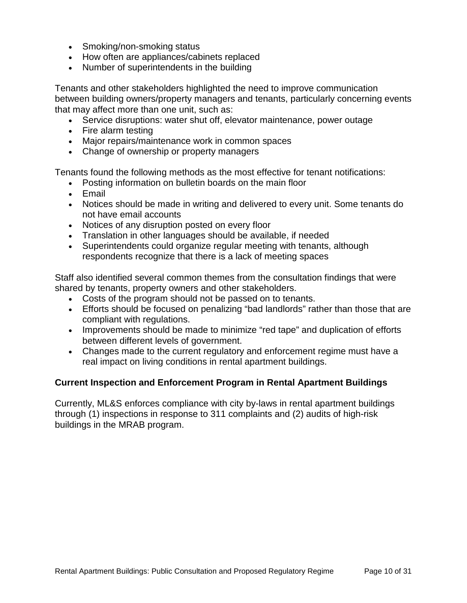- Smoking/non-smoking status
- How often are appliances/cabinets replaced
- Number of superintendents in the building

Tenants and other stakeholders highlighted the need to improve communication between building owners/property managers and tenants, particularly concerning events that may affect more than one unit, such as:

- Service disruptions: water shut off, elevator maintenance, power outage
- Fire alarm testing
- Major repairs/maintenance work in common spaces
- Change of ownership or property managers

Tenants found the following methods as the most effective for tenant notifications:

- Posting information on bulletin boards on the main floor
- Email
- Notices should be made in writing and delivered to every unit. Some tenants do not have email accounts
- Notices of any disruption posted on every floor
- Translation in other languages should be available, if needed
- Superintendents could organize regular meeting with tenants, although respondents recognize that there is a lack of meeting spaces

Staff also identified several common themes from the consultation findings that were shared by tenants, property owners and other stakeholders.

- Costs of the program should not be passed on to tenants.
- Efforts should be focused on penalizing "bad landlords" rather than those that are compliant with regulations.
- Improvements should be made to minimize "red tape" and duplication of efforts between different levels of government.
- Changes made to the current regulatory and enforcement regime must have a real impact on living conditions in rental apartment buildings.

#### **Current Inspection and Enforcement Program in Rental Apartment Buildings**

Currently, ML&S enforces compliance with city by-laws in rental apartment buildings through (1) inspections in response to 311 complaints and (2) audits of high-risk buildings in the MRAB program.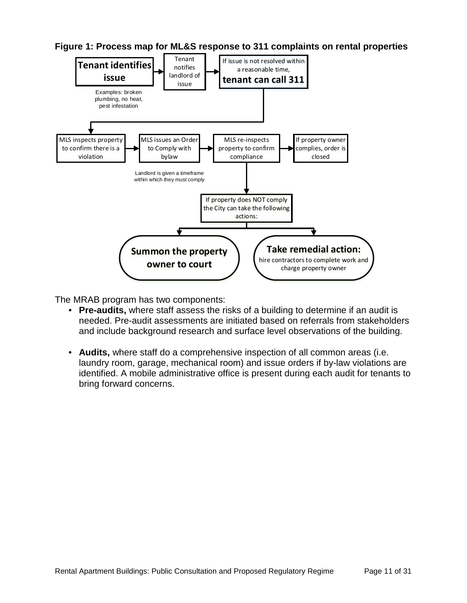

**Figure 1: Process map for ML&S response to 311 complaints on rental properties**

The MRAB program has two components:

- **Pre-audits,** where staff assess the risks of a building to determine if an audit is needed. Pre-audit assessments are initiated based on referrals from stakeholders and include background research and surface level observations of the building.
- **Audits,** where staff do a comprehensive inspection of all common areas (i.e. laundry room, garage, mechanical room) and issue orders if by-law violations are identified. A mobile administrative office is present during each audit for tenants to bring forward concerns.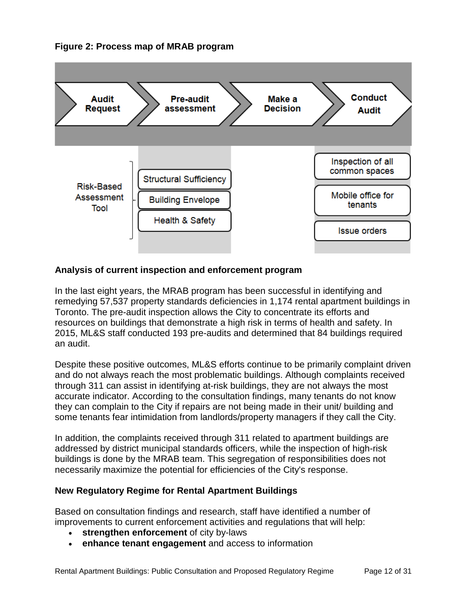#### **Figure 2: Process map of MRAB program**



#### **Analysis of current inspection and enforcement program**

In the last eight years, the MRAB program has been successful in identifying and remedying 57,537 property standards deficiencies in 1,174 rental apartment buildings in Toronto. The pre-audit inspection allows the City to concentrate its efforts and resources on buildings that demonstrate a high risk in terms of health and safety. In 2015, ML&S staff conducted 193 pre-audits and determined that 84 buildings required an audit.

Despite these positive outcomes, ML&S efforts continue to be primarily complaint driven and do not always reach the most problematic buildings. Although complaints received through 311 can assist in identifying at-risk buildings, they are not always the most accurate indicator. According to the consultation findings, many tenants do not know they can complain to the City if repairs are not being made in their unit/ building and some tenants fear intimidation from landlords/property managers if they call the City.

In addition, the complaints received through 311 related to apartment buildings are addressed by district municipal standards officers, while the inspection of high-risk buildings is done by the MRAB team. This segregation of responsibilities does not necessarily maximize the potential for efficiencies of the City's response.

#### **New Regulatory Regime for Rental Apartment Buildings**

Based on consultation findings and research, staff have identified a number of improvements to current enforcement activities and regulations that will help:

- strengthen enforcement of city by-laws
- **enhance tenant engagement** and access to information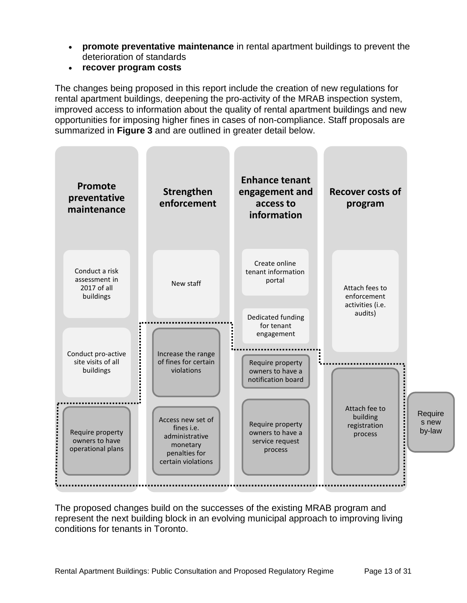- **promote preventative maintenance** in rental apartment buildings to prevent the deterioration of standards
- **recover program costs**

The changes being proposed in this report include the creation of new regulations for rental apartment buildings, deepening the pro-activity of the MRAB inspection system, improved access to information about the quality of rental apartment buildings and new opportunities for imposing higher fines in cases of non-compliance. Staff proposals are summarized in **Figure 3** and are outlined in greater detail below.



The proposed changes build on the successes of the existing MRAB program and represent the next building block in an evolving municipal approach to improving living conditions for tenants in Toronto.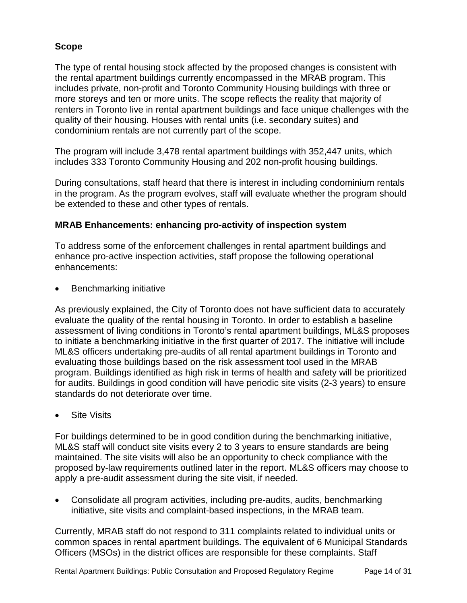#### **Scope**

The type of rental housing stock affected by the proposed changes is consistent with the rental apartment buildings currently encompassed in the MRAB program. This includes private, non-profit and Toronto Community Housing buildings with three or more storeys and ten or more units. The scope reflects the reality that majority of renters in Toronto live in rental apartment buildings and face unique challenges with the quality of their housing. Houses with rental units (i.e. secondary suites) and condominium rentals are not currently part of the scope.

The program will include 3,478 rental apartment buildings with 352,447 units, which includes 333 Toronto Community Housing and 202 non-profit housing buildings.

During consultations, staff heard that there is interest in including condominium rentals in the program. As the program evolves, staff will evaluate whether the program should be extended to these and other types of rentals.

#### **MRAB Enhancements: enhancing pro-activity of inspection system**

To address some of the enforcement challenges in rental apartment buildings and enhance pro-active inspection activities, staff propose the following operational enhancements:

• Benchmarking initiative

As previously explained, the City of Toronto does not have sufficient data to accurately evaluate the quality of the rental housing in Toronto. In order to establish a baseline assessment of living conditions in Toronto's rental apartment buildings, ML&S proposes to initiate a benchmarking initiative in the first quarter of 2017. The initiative will include ML&S officers undertaking pre-audits of all rental apartment buildings in Toronto and evaluating those buildings based on the risk assessment tool used in the MRAB program. Buildings identified as high risk in terms of health and safety will be prioritized for audits. Buildings in good condition will have periodic site visits (2-3 years) to ensure standards do not deteriorate over time.

**Site Visits** 

For buildings determined to be in good condition during the benchmarking initiative, ML&S staff will conduct site visits every 2 to 3 years to ensure standards are being maintained. The site visits will also be an opportunity to check compliance with the proposed by-law requirements outlined later in the report. ML&S officers may choose to apply a pre-audit assessment during the site visit, if needed.

• Consolidate all program activities, including pre-audits, audits, benchmarking initiative, site visits and complaint-based inspections, in the MRAB team.

Currently, MRAB staff do not respond to 311 complaints related to individual units or common spaces in rental apartment buildings. The equivalent of 6 Municipal Standards Officers (MSOs) in the district offices are responsible for these complaints. Staff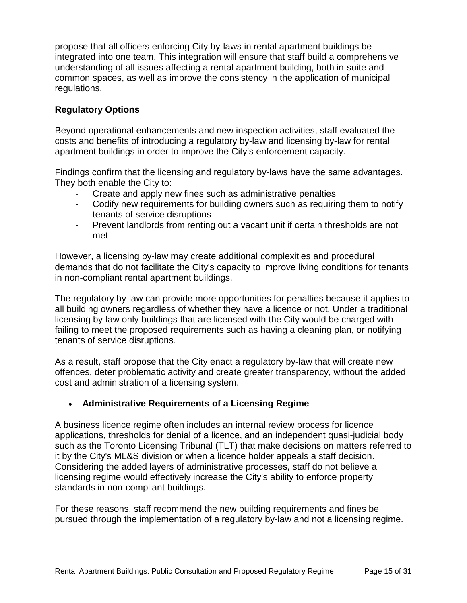propose that all officers enforcing City by-laws in rental apartment buildings be integrated into one team. This integration will ensure that staff build a comprehensive understanding of all issues affecting a rental apartment building, both in-suite and common spaces, as well as improve the consistency in the application of municipal regulations.

#### **Regulatory Options**

Beyond operational enhancements and new inspection activities, staff evaluated the costs and benefits of introducing a regulatory by-law and licensing by-law for rental apartment buildings in order to improve the City's enforcement capacity.

Findings confirm that the licensing and regulatory by-laws have the same advantages. They both enable the City to:

- Create and apply new fines such as administrative penalties
- Codify new requirements for building owners such as requiring them to notify tenants of service disruptions
- Prevent landlords from renting out a vacant unit if certain thresholds are not met

However, a licensing by-law may create additional complexities and procedural demands that do not facilitate the City's capacity to improve living conditions for tenants in non-compliant rental apartment buildings.

The regulatory by-law can provide more opportunities for penalties because it applies to all building owners regardless of whether they have a licence or not. Under a traditional licensing by-law only buildings that are licensed with the City would be charged with failing to meet the proposed requirements such as having a cleaning plan, or notifying tenants of service disruptions.

As a result, staff propose that the City enact a regulatory by-law that will create new offences, deter problematic activity and create greater transparency, without the added cost and administration of a licensing system.

#### • **Administrative Requirements of a Licensing Regime**

A business licence regime often includes an internal review process for licence applications, thresholds for denial of a licence, and an independent quasi-judicial body such as the Toronto Licensing Tribunal (TLT) that make decisions on matters referred to it by the City's ML&S division or when a licence holder appeals a staff decision. Considering the added layers of administrative processes, staff do not believe a licensing regime would effectively increase the City's ability to enforce property standards in non-compliant buildings.

For these reasons, staff recommend the new building requirements and fines be pursued through the implementation of a regulatory by-law and not a licensing regime.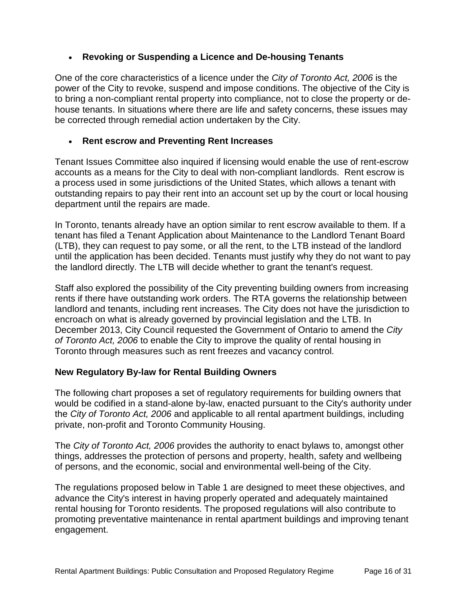#### • **Revoking or Suspending a Licence and De-housing Tenants**

One of the core characteristics of a licence under the *City of Toronto Act, 2006* is the power of the City to revoke, suspend and impose conditions. The objective of the City is to bring a non-compliant rental property into compliance, not to close the property or dehouse tenants. In situations where there are life and safety concerns, these issues may be corrected through remedial action undertaken by the City.

#### • **Rent escrow and Preventing Rent Increases**

Tenant Issues Committee also inquired if licensing would enable the use of rent-escrow accounts as a means for the City to deal with non-compliant landlords. Rent escrow is a process used in some jurisdictions of the United States, which allows a tenant with outstanding repairs to pay their rent into an account set up by the court or local housing department until the repairs are made.

In Toronto, tenants already have an option similar to rent escrow available to them. If a tenant has filed a Tenant Application about Maintenance to the Landlord Tenant Board (LTB), they can request to pay some, or all the rent, to the LTB instead of the landlord until the application has been decided. Tenants must justify why they do not want to pay the landlord directly. The LTB will decide whether to grant the tenant's request.

Staff also explored the possibility of the City preventing building owners from increasing rents if there have outstanding work orders. The RTA governs the relationship between landlord and tenants, including rent increases. The City does not have the jurisdiction to encroach on what is already governed by provincial legislation and the LTB. In December 2013, City Council requested the Government of Ontario to amend the *City of Toronto Act, 2006* to enable the City to improve the quality of rental housing in Toronto through measures such as rent freezes and vacancy control.

#### **New Regulatory By-law for Rental Building Owners**

The following chart proposes a set of regulatory requirements for building owners that would be codified in a stand-alone by-law, enacted pursuant to the City's authority under the *City of Toronto Act, 2006* and applicable to all rental apartment buildings, including private, non-profit and Toronto Community Housing.

The *City of Toronto Act, 2006* provides the authority to enact bylaws to, amongst other things, addresses the protection of persons and property, health, safety and wellbeing of persons, and the economic, social and environmental well-being of the City.

The regulations proposed below in Table 1 are designed to meet these objectives, and advance the City's interest in having properly operated and adequately maintained rental housing for Toronto residents. The proposed regulations will also contribute to promoting preventative maintenance in rental apartment buildings and improving tenant engagement.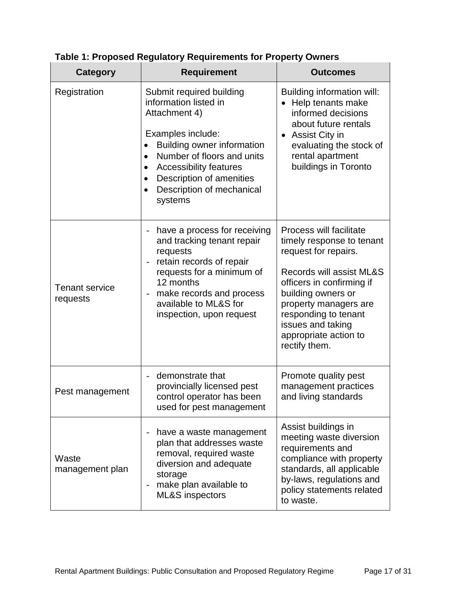| Category                          | <b>Requirement</b>                                                                                                                                                                                                                                                                                     | <b>Outcomes</b>                                                                                                                                                                                                                                                             |
|-----------------------------------|--------------------------------------------------------------------------------------------------------------------------------------------------------------------------------------------------------------------------------------------------------------------------------------------------------|-----------------------------------------------------------------------------------------------------------------------------------------------------------------------------------------------------------------------------------------------------------------------------|
| Registration                      | Submit required building<br>information listed in<br>Attachment 4)<br>Examples include:<br><b>Building owner information</b><br>Number of floors and units<br>$\bullet$<br><b>Accessibility features</b><br>$\bullet$<br>Description of amenities<br>$\bullet$<br>Description of mechanical<br>systems | <b>Building information will:</b><br>Help tenants make<br>informed decisions<br>about future rentals<br>Assist City in<br>evaluating the stock of<br>rental apartment<br>buildings in Toronto                                                                               |
| <b>Tenant service</b><br>requests | have a process for receiving<br>and tracking tenant repair<br>requests<br>retain records of repair<br>$\overline{a}$<br>requests for a minimum of<br>12 months<br>make records and process<br>$\overline{\phantom{0}}$<br>available to ML&S for<br>inspection, upon request                            | Process will facilitate<br>timely response to tenant<br>request for repairs.<br>Records will assist ML&S<br>officers in confirming if<br>building owners or<br>property managers are<br>responding to tenant<br>issues and taking<br>appropriate action to<br>rectify them. |
| Pest management                   | demonstrate that<br>$\overline{a}$<br>provincially licensed pest<br>control operator has been<br>used for pest management                                                                                                                                                                              | Promote quality pest<br>management practices<br>and living standards                                                                                                                                                                                                        |
| Waste<br>management plan          | have a waste management<br>$\overline{\phantom{0}}$<br>plan that addresses waste<br>removal, required waste<br>diversion and adequate<br>storage<br>make plan available to<br>$\overline{\phantom{0}}$<br><b>ML&amp;S</b> inspectors                                                                   | Assist buildings in<br>meeting waste diversion<br>requirements and<br>compliance with property<br>standards, all applicable<br>by-laws, regulations and<br>policy statements related<br>to waste.                                                                           |

#### **Table 1: Proposed Regulatory Requirements for Property Owners**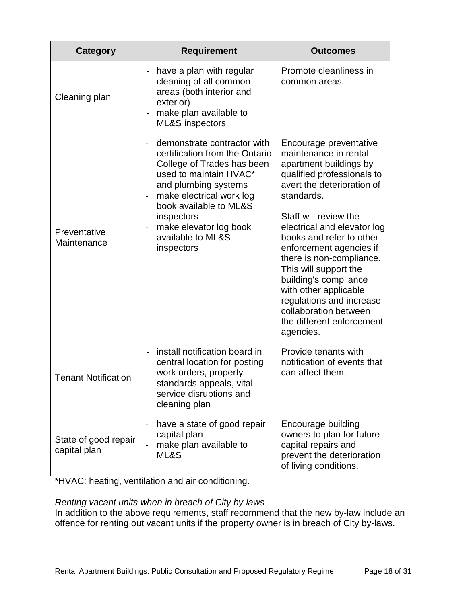| <b>Category</b>                      | <b>Requirement</b>                                                                                                                                                                                                                                                                                                                     | <b>Outcomes</b>                                                                                                                                                                                                                                                                                                                                                                                                                                                          |
|--------------------------------------|----------------------------------------------------------------------------------------------------------------------------------------------------------------------------------------------------------------------------------------------------------------------------------------------------------------------------------------|--------------------------------------------------------------------------------------------------------------------------------------------------------------------------------------------------------------------------------------------------------------------------------------------------------------------------------------------------------------------------------------------------------------------------------------------------------------------------|
| Cleaning plan                        | have a plan with regular<br>$\overline{a}$<br>cleaning of all common<br>areas (both interior and<br>exterior)<br>make plan available to<br><b>ML&amp;S</b> inspectors                                                                                                                                                                  | Promote cleanliness in<br>common areas.                                                                                                                                                                                                                                                                                                                                                                                                                                  |
| Preventative<br>Maintenance          | demonstrate contractor with<br>certification from the Ontario<br>College of Trades has been<br>used to maintain HVAC*<br>and plumbing systems<br>make electrical work log<br>$\overline{\phantom{0}}$<br>book available to ML&S<br>inspectors<br>make elevator log book<br>$\overline{\phantom{0}}$<br>available to ML&S<br>inspectors | Encourage preventative<br>maintenance in rental<br>apartment buildings by<br>qualified professionals to<br>avert the deterioration of<br>standards.<br>Staff will review the<br>electrical and elevator log<br>books and refer to other<br>enforcement agencies if<br>there is non-compliance.<br>This will support the<br>building's compliance<br>with other applicable<br>regulations and increase<br>collaboration between<br>the different enforcement<br>agencies. |
| <b>Tenant Notification</b>           | install notification board in<br>$\overline{a}$<br>central location for posting<br>work orders, property<br>standards appeals, vital<br>service disruptions and<br>cleaning plan                                                                                                                                                       | Provide tenants with<br>notification of events that<br>can affect them.                                                                                                                                                                                                                                                                                                                                                                                                  |
| State of good repair<br>capital plan | have a state of good repair<br>capital plan<br>make plan available to<br>$\overline{\phantom{0}}$<br>ML&S                                                                                                                                                                                                                              | Encourage building<br>owners to plan for future<br>capital repairs and<br>prevent the deterioration<br>of living conditions.                                                                                                                                                                                                                                                                                                                                             |

\*HVAC: heating, ventilation and air conditioning.

#### *Renting vacant units when in breach of City by-laws*

In addition to the above requirements, staff recommend that the new by-law include an offence for renting out vacant units if the property owner is in breach of City by-laws.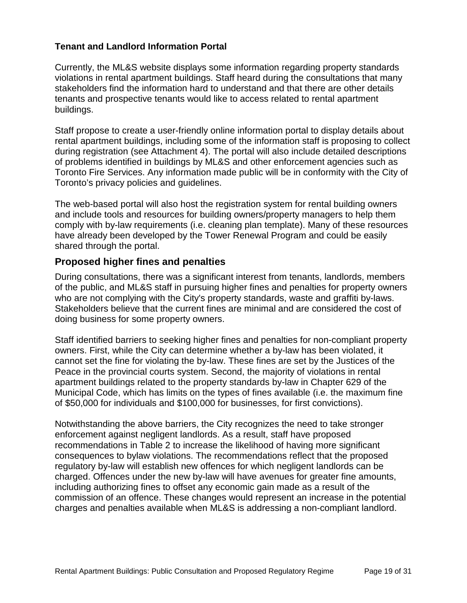#### **Tenant and Landlord Information Portal**

Currently, the ML&S website displays some information regarding property standards violations in rental apartment buildings. Staff heard during the consultations that many stakeholders find the information hard to understand and that there are other details tenants and prospective tenants would like to access related to rental apartment buildings.

Staff propose to create a user-friendly online information portal to display details about rental apartment buildings, including some of the information staff is proposing to collect during registration (see Attachment 4). The portal will also include detailed descriptions of problems identified in buildings by ML&S and other enforcement agencies such as Toronto Fire Services. Any information made public will be in conformity with the City of Toronto's privacy policies and guidelines.

The web-based portal will also host the registration system for rental building owners and include tools and resources for building owners/property managers to help them comply with by-law requirements (i.e. cleaning plan template). Many of these resources have already been developed by the Tower Renewal Program and could be easily shared through the portal.

#### **Proposed higher fines and penalties**

During consultations, there was a significant interest from tenants, landlords, members of the public, and ML&S staff in pursuing higher fines and penalties for property owners who are not complying with the City's property standards, waste and graffiti by-laws. Stakeholders believe that the current fines are minimal and are considered the cost of doing business for some property owners.

Staff identified barriers to seeking higher fines and penalties for non-compliant property owners. First, while the City can determine whether a by-law has been violated, it cannot set the fine for violating the by-law. These fines are set by the Justices of the Peace in the provincial courts system. Second, the majority of violations in rental apartment buildings related to the property standards by-law in Chapter 629 of the Municipal Code, which has limits on the types of fines available (i.e. the maximum fine of \$50,000 for individuals and \$100,000 for businesses, for first convictions).

Notwithstanding the above barriers, the City recognizes the need to take stronger enforcement against negligent landlords. As a result, staff have proposed recommendations in Table 2 to increase the likelihood of having more significant consequences to bylaw violations. The recommendations reflect that the proposed regulatory by-law will establish new offences for which negligent landlords can be charged. Offences under the new by-law will have avenues for greater fine amounts, including authorizing fines to offset any economic gain made as a result of the commission of an offence. These changes would represent an increase in the potential charges and penalties available when ML&S is addressing a non-compliant landlord.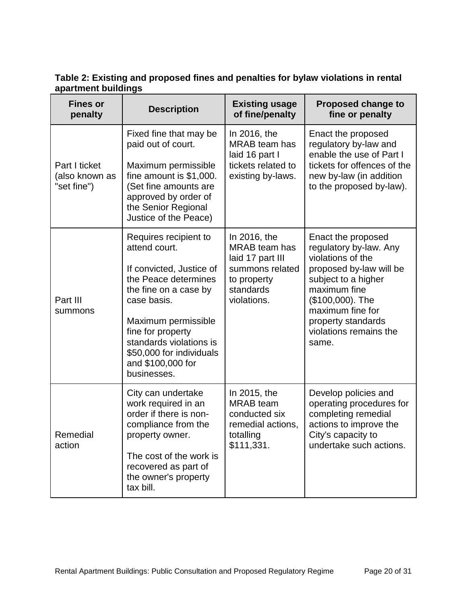| <b>Fines or</b><br>penalty                     | <b>Description</b>                                                                                                                                                                                                                                                        | <b>Existing usage</b><br>of fine/penalty                                                                               | <b>Proposed change to</b><br>fine or penalty                                                                                                                                                                                         |
|------------------------------------------------|---------------------------------------------------------------------------------------------------------------------------------------------------------------------------------------------------------------------------------------------------------------------------|------------------------------------------------------------------------------------------------------------------------|--------------------------------------------------------------------------------------------------------------------------------------------------------------------------------------------------------------------------------------|
| Part I ticket<br>(also known as<br>"set fine") | Fixed fine that may be<br>paid out of court.<br>Maximum permissible<br>fine amount is \$1,000.<br>(Set fine amounts are<br>approved by order of<br>the Senior Regional<br>Justice of the Peace)                                                                           | In 2016, the<br><b>MRAB</b> team has<br>laid 16 part I<br>tickets related to<br>existing by-laws.                      | Enact the proposed<br>regulatory by-law and<br>enable the use of Part I<br>tickets for offences of the<br>new by-law (in addition<br>to the proposed by-law).                                                                        |
| Part III<br>summons                            | Requires recipient to<br>attend court.<br>If convicted, Justice of<br>the Peace determines<br>the fine on a case by<br>case basis.<br>Maximum permissible<br>fine for property<br>standards violations is<br>\$50,000 for individuals<br>and \$100,000 for<br>businesses. | In 2016, the<br><b>MRAB</b> team has<br>laid 17 part III<br>summons related<br>to property<br>standards<br>violations. | Enact the proposed<br>regulatory by-law. Any<br>violations of the<br>proposed by-law will be<br>subject to a higher<br>maximum fine<br>(\$100,000). The<br>maximum fine for<br>property standards<br>violations remains the<br>same. |
| Remedial<br>action                             | City can undertake<br>work required in an<br>order if there is non-<br>compliance from the<br>property owner.<br>The cost of the work is<br>recovered as part of<br>the owner's property<br>tax bill.                                                                     | In 2015, the<br><b>MRAB</b> team<br>conducted six<br>remedial actions,<br>totalling<br>\$111,331.                      | Develop policies and<br>operating procedures for<br>completing remedial<br>actions to improve the<br>City's capacity to<br>undertake such actions.                                                                                   |

**Table 2: Existing and proposed fines and penalties for bylaw violations in rental apartment buildings**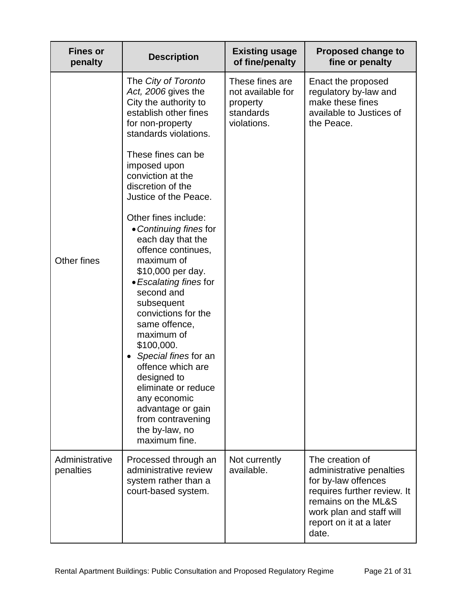| <b>Fines or</b><br>penalty  | <b>Description</b>                                                                                                                                                                                                                                                                                                                                                                                                                                                                                                                                                                                                                                                                           | <b>Existing usage</b><br>of fine/penalty                                     | <b>Proposed change to</b><br>fine or penalty                                                                                                                                             |
|-----------------------------|----------------------------------------------------------------------------------------------------------------------------------------------------------------------------------------------------------------------------------------------------------------------------------------------------------------------------------------------------------------------------------------------------------------------------------------------------------------------------------------------------------------------------------------------------------------------------------------------------------------------------------------------------------------------------------------------|------------------------------------------------------------------------------|------------------------------------------------------------------------------------------------------------------------------------------------------------------------------------------|
| Other fines                 | The City of Toronto<br>Act, 2006 gives the<br>City the authority to<br>establish other fines<br>for non-property<br>standards violations.<br>These fines can be<br>imposed upon<br>conviction at the<br>discretion of the<br>Justice of the Peace.<br>Other fines include:<br>• Continuing fines for<br>each day that the<br>offence continues,<br>maximum of<br>\$10,000 per day.<br>• Escalating fines for<br>second and<br>subsequent<br>convictions for the<br>same offence,<br>maximum of<br>\$100,000.<br>Special fines for an<br>offence which are<br>designed to<br>eliminate or reduce<br>any economic<br>advantage or gain<br>from contravening<br>the by-law, no<br>maximum fine. | These fines are<br>not available for<br>property<br>standards<br>violations. | Enact the proposed<br>regulatory by-law and<br>make these fines<br>available to Justices of<br>the Peace.                                                                                |
| Administrative<br>penalties | Processed through an<br>administrative review<br>system rather than a<br>court-based system.                                                                                                                                                                                                                                                                                                                                                                                                                                                                                                                                                                                                 | Not currently<br>available.                                                  | The creation of<br>administrative penalties<br>for by-law offences<br>requires further review. It<br>remains on the ML&S<br>work plan and staff will<br>report on it at a later<br>date. |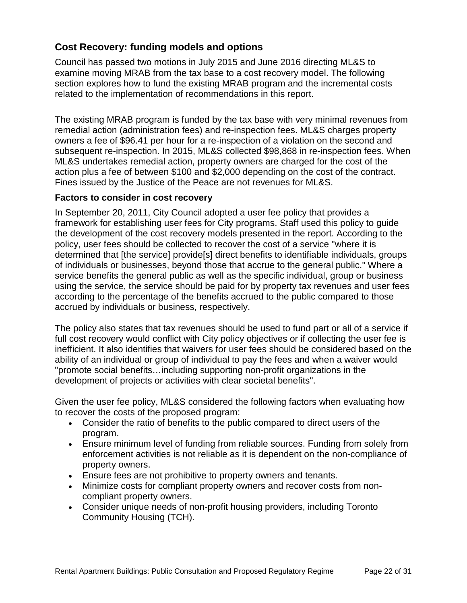#### **Cost Recovery: funding models and options**

Council has passed two motions in July 2015 and June 2016 directing ML&S to examine moving MRAB from the tax base to a cost recovery model. The following section explores how to fund the existing MRAB program and the incremental costs related to the implementation of recommendations in this report.

The existing MRAB program is funded by the tax base with very minimal revenues from remedial action (administration fees) and re-inspection fees. ML&S charges property owners a fee of \$96.41 per hour for a re-inspection of a violation on the second and subsequent re-inspection. In 2015, ML&S collected \$98,868 in re-inspection fees. When ML&S undertakes remedial action, property owners are charged for the cost of the action plus a fee of between \$100 and \$2,000 depending on the cost of the contract. Fines issued by the Justice of the Peace are not revenues for ML&S.

#### **Factors to consider in cost recovery**

In September 20, 2011, City Council adopted a user fee policy that provides a framework for establishing user fees for City programs. Staff used this policy to guide the development of the cost recovery models presented in the report. According to the policy, user fees should be collected to recover the cost of a service "where it is determined that [the service] provide[s] direct benefits to identifiable individuals, groups of individuals or businesses, beyond those that accrue to the general public." Where a service benefits the general public as well as the specific individual, group or business using the service, the service should be paid for by property tax revenues and user fees according to the percentage of the benefits accrued to the public compared to those accrued by individuals or business, respectively.

The policy also states that tax revenues should be used to fund part or all of a service if full cost recovery would conflict with City policy objectives or if collecting the user fee is inefficient. It also identifies that waivers for user fees should be considered based on the ability of an individual or group of individual to pay the fees and when a waiver would "promote social benefits…including supporting non-profit organizations in the development of projects or activities with clear societal benefits".

Given the user fee policy, ML&S considered the following factors when evaluating how to recover the costs of the proposed program:

- Consider the ratio of benefits to the public compared to direct users of the program.
- Ensure minimum level of funding from reliable sources. Funding from solely from enforcement activities is not reliable as it is dependent on the non-compliance of property owners.
- Ensure fees are not prohibitive to property owners and tenants.
- Minimize costs for compliant property owners and recover costs from noncompliant property owners.
- Consider unique needs of non-profit housing providers, including Toronto Community Housing (TCH).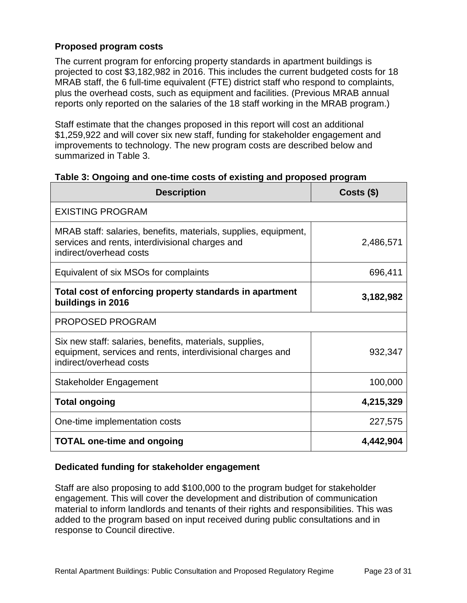#### **Proposed program costs**

The current program for enforcing property standards in apartment buildings is projected to cost \$3,182,982 in 2016. This includes the current budgeted costs for 18 MRAB staff, the 6 full-time equivalent (FTE) district staff who respond to complaints, plus the overhead costs, such as equipment and facilities. (Previous MRAB annual reports only reported on the salaries of the 18 staff working in the MRAB program.)

Staff estimate that the changes proposed in this report will cost an additional \$1,259,922 and will cover six new staff, funding for stakeholder engagement and improvements to technology. The new program costs are described below and summarized in Table 3.

| <b>Description</b>                                                                                                                               | $Costs$ (\$) |
|--------------------------------------------------------------------------------------------------------------------------------------------------|--------------|
| <b>EXISTING PROGRAM</b>                                                                                                                          |              |
| MRAB staff: salaries, benefits, materials, supplies, equipment,<br>services and rents, interdivisional charges and<br>indirect/overhead costs    | 2,486,571    |
| Equivalent of six MSOs for complaints                                                                                                            | 696,411      |
| Total cost of enforcing property standards in apartment<br>buildings in 2016                                                                     | 3,182,982    |
| <b>PROPOSED PROGRAM</b>                                                                                                                          |              |
| Six new staff: salaries, benefits, materials, supplies,<br>equipment, services and rents, interdivisional charges and<br>indirect/overhead costs | 932,347      |
| Stakeholder Engagement                                                                                                                           | 100,000      |
| <b>Total ongoing</b>                                                                                                                             | 4,215,329    |
| One-time implementation costs                                                                                                                    | 227,575      |
| <b>TOTAL one-time and ongoing</b>                                                                                                                | 4,442,904    |

#### **Table 3: Ongoing and one-time costs of existing and proposed program**

#### **Dedicated funding for stakeholder engagement**

Staff are also proposing to add \$100,000 to the program budget for stakeholder engagement. This will cover the development and distribution of communication material to inform landlords and tenants of their rights and responsibilities. This was added to the program based on input received during public consultations and in response to Council directive.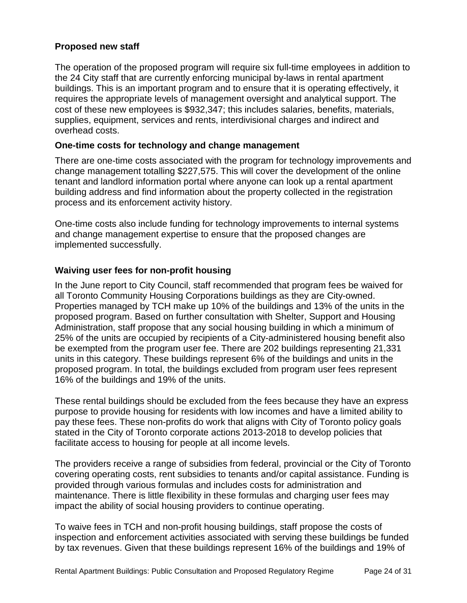#### **Proposed new staff**

The operation of the proposed program will require six full-time employees in addition to the 24 City staff that are currently enforcing municipal by-laws in rental apartment buildings. This is an important program and to ensure that it is operating effectively, it requires the appropriate levels of management oversight and analytical support. The cost of these new employees is \$932,347; this includes salaries, benefits, materials, supplies, equipment, services and rents, interdivisional charges and indirect and overhead costs.

#### **One-time costs for technology and change management**

There are one-time costs associated with the program for technology improvements and change management totalling \$227,575. This will cover the development of the online tenant and landlord information portal where anyone can look up a rental apartment building address and find information about the property collected in the registration process and its enforcement activity history.

One-time costs also include funding for technology improvements to internal systems and change management expertise to ensure that the proposed changes are implemented successfully.

#### **Waiving user fees for non-profit housing**

In the June report to City Council, staff recommended that program fees be waived for all Toronto Community Housing Corporations buildings as they are City-owned. Properties managed by TCH make up 10% of the buildings and 13% of the units in the proposed program. Based on further consultation with Shelter, Support and Housing Administration, staff propose that any social housing building in which a minimum of 25% of the units are occupied by recipients of a City-administered housing benefit also be exempted from the program user fee. There are 202 buildings representing 21,331 units in this category. These buildings represent 6% of the buildings and units in the proposed program. In total, the buildings excluded from program user fees represent 16% of the buildings and 19% of the units.

These rental buildings should be excluded from the fees because they have an express purpose to provide housing for residents with low incomes and have a limited ability to pay these fees. These non-profits do work that aligns with City of Toronto policy goals stated in the City of Toronto corporate actions 2013-2018 to develop policies that facilitate access to housing for people at all income levels.

The providers receive a range of subsidies from federal, provincial or the City of Toronto covering operating costs, rent subsidies to tenants and/or capital assistance. Funding is provided through various formulas and includes costs for administration and maintenance. There is little flexibility in these formulas and charging user fees may impact the ability of social housing providers to continue operating.

To waive fees in TCH and non-profit housing buildings, staff propose the costs of inspection and enforcement activities associated with serving these buildings be funded by tax revenues. Given that these buildings represent 16% of the buildings and 19% of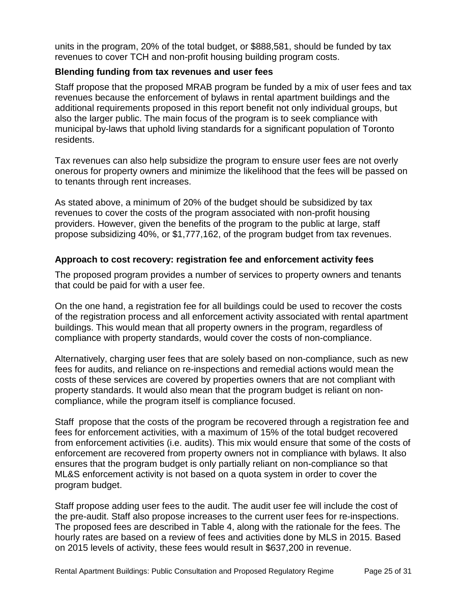units in the program, 20% of the total budget, or \$888,581, should be funded by tax revenues to cover TCH and non-profit housing building program costs.

#### **Blending funding from tax revenues and user fees**

Staff propose that the proposed MRAB program be funded by a mix of user fees and tax revenues because the enforcement of bylaws in rental apartment buildings and the additional requirements proposed in this report benefit not only individual groups, but also the larger public. The main focus of the program is to seek compliance with municipal by-laws that uphold living standards for a significant population of Toronto residents.

Tax revenues can also help subsidize the program to ensure user fees are not overly onerous for property owners and minimize the likelihood that the fees will be passed on to tenants through rent increases.

As stated above, a minimum of 20% of the budget should be subsidized by tax revenues to cover the costs of the program associated with non-profit housing providers. However, given the benefits of the program to the public at large, staff propose subsidizing 40%, or \$1,777,162, of the program budget from tax revenues.

#### **Approach to cost recovery: registration fee and enforcement activity fees**

The proposed program provides a number of services to property owners and tenants that could be paid for with a user fee.

On the one hand, a registration fee for all buildings could be used to recover the costs of the registration process and all enforcement activity associated with rental apartment buildings. This would mean that all property owners in the program, regardless of compliance with property standards, would cover the costs of non-compliance.

Alternatively, charging user fees that are solely based on non-compliance, such as new fees for audits, and reliance on re-inspections and remedial actions would mean the costs of these services are covered by properties owners that are not compliant with property standards. It would also mean that the program budget is reliant on noncompliance, while the program itself is compliance focused.

Staff propose that the costs of the program be recovered through a registration fee and fees for enforcement activities, with a maximum of 15% of the total budget recovered from enforcement activities (i.e. audits). This mix would ensure that some of the costs of enforcement are recovered from property owners not in compliance with bylaws. It also ensures that the program budget is only partially reliant on non-compliance so that ML&S enforcement activity is not based on a quota system in order to cover the program budget.

Staff propose adding user fees to the audit. The audit user fee will include the cost of the pre-audit. Staff also propose increases to the current user fees for re-inspections. The proposed fees are described in Table 4, along with the rationale for the fees. The hourly rates are based on a review of fees and activities done by MLS in 2015. Based on 2015 levels of activity, these fees would result in \$637,200 in revenue.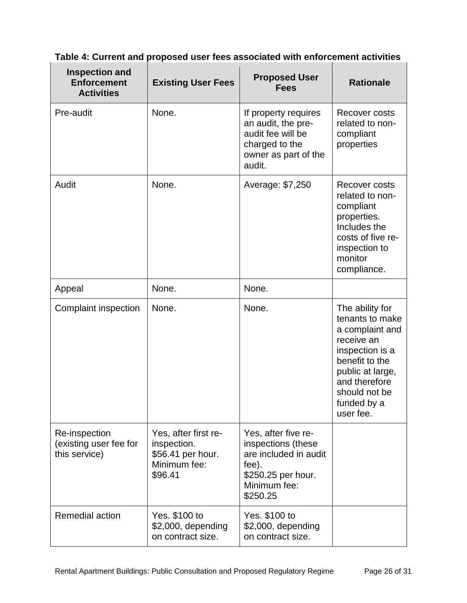| <b>Inspection and</b><br><b>Enforcement</b><br><b>Activities</b> | <b>Existing User Fees</b>                                                           | <b>Proposed User</b><br><b>Fees</b>                                                                                           | <b>Rationale</b>                                                                                                                                                                           |
|------------------------------------------------------------------|-------------------------------------------------------------------------------------|-------------------------------------------------------------------------------------------------------------------------------|--------------------------------------------------------------------------------------------------------------------------------------------------------------------------------------------|
| Pre-audit                                                        | None.                                                                               | If property requires<br>an audit, the pre-<br>audit fee will be<br>charged to the<br>owner as part of the<br>audit.           | Recover costs<br>related to non-<br>compliant<br>properties                                                                                                                                |
| Audit                                                            | None.                                                                               | Average: \$7,250                                                                                                              | Recover costs<br>related to non-<br>compliant<br>properties.<br>Includes the<br>costs of five re-<br>inspection to<br>monitor<br>compliance.                                               |
| Appeal                                                           | None.                                                                               | None.                                                                                                                         |                                                                                                                                                                                            |
| Complaint inspection                                             | None.                                                                               | None.                                                                                                                         | The ability for<br>tenants to make<br>a complaint and<br>receive an<br>inspection is a<br>benefit to the<br>public at large,<br>and therefore<br>should not be<br>funded by a<br>user fee. |
| Re-inspection<br>(existing user fee for<br>this service)         | Yes, after first re-<br>inspection.<br>\$56.41 per hour.<br>Minimum fee:<br>\$96.41 | Yes, after five re-<br>inspections (these<br>are included in audit<br>fee).<br>\$250.25 per hour.<br>Minimum fee:<br>\$250.25 |                                                                                                                                                                                            |
| Remedial action                                                  | Yes. \$100 to<br>\$2,000, depending<br>on contract size.                            | Yes. \$100 to<br>\$2,000, depending<br>on contract size.                                                                      |                                                                                                                                                                                            |

### **Table 4: Current and proposed user fees associated with enforcement activities**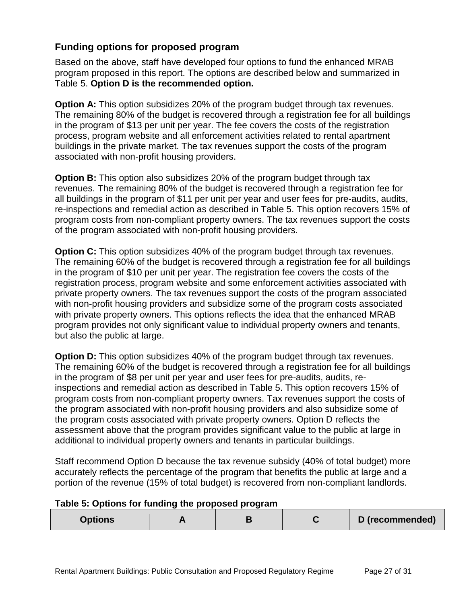#### **Funding options for proposed program**

Based on the above, staff have developed four options to fund the enhanced MRAB program proposed in this report. The options are described below and summarized in Table 5. **Option D is the recommended option.**

**Option A:** This option subsidizes 20% of the program budget through tax revenues. The remaining 80% of the budget is recovered through a registration fee for all buildings in the program of \$13 per unit per year. The fee covers the costs of the registration process, program website and all enforcement activities related to rental apartment buildings in the private market. The tax revenues support the costs of the program associated with non-profit housing providers.

**Option B:** This option also subsidizes 20% of the program budget through tax revenues. The remaining 80% of the budget is recovered through a registration fee for all buildings in the program of \$11 per unit per year and user fees for pre-audits, audits, re-inspections and remedial action as described in Table 5. This option recovers 15% of program costs from non-compliant property owners. The tax revenues support the costs of the program associated with non-profit housing providers.

**Option C:** This option subsidizes 40% of the program budget through tax revenues. The remaining 60% of the budget is recovered through a registration fee for all buildings in the program of \$10 per unit per year. The registration fee covers the costs of the registration process, program website and some enforcement activities associated with private property owners. The tax revenues support the costs of the program associated with non-profit housing providers and subsidize some of the program costs associated with private property owners. This options reflects the idea that the enhanced MRAB program provides not only significant value to individual property owners and tenants, but also the public at large.

**Option D:** This option subsidizes 40% of the program budget through tax revenues. The remaining 60% of the budget is recovered through a registration fee for all buildings in the program of \$8 per unit per year and user fees for pre-audits, audits, reinspections and remedial action as described in Table 5. This option recovers 15% of program costs from non-compliant property owners. Tax revenues support the costs of the program associated with non-profit housing providers and also subsidize some of the program costs associated with private property owners. Option D reflects the assessment above that the program provides significant value to the public at large in additional to individual property owners and tenants in particular buildings.

Staff recommend Option D because the tax revenue subsidy (40% of total budget) more accurately reflects the percentage of the program that benefits the public at large and a portion of the revenue (15% of total budget) is recovered from non-compliant landlords.

#### **Table 5: Options for funding the proposed program**

| Options |  |  |  | D (recommended) |
|---------|--|--|--|-----------------|
|---------|--|--|--|-----------------|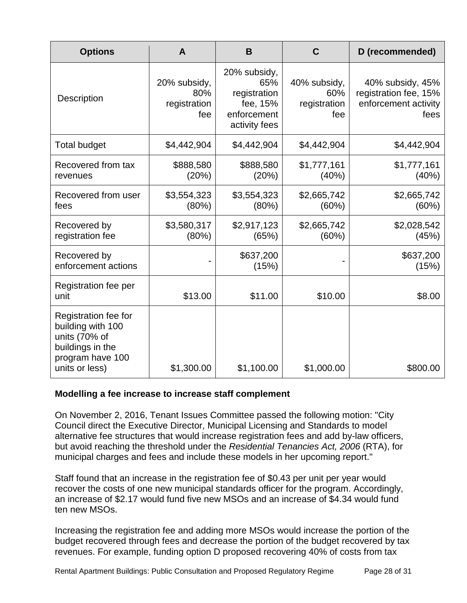| <b>Options</b>                                                                                                       | A                                          | B                                                                               | C                                          | D (recommended)                                                           |
|----------------------------------------------------------------------------------------------------------------------|--------------------------------------------|---------------------------------------------------------------------------------|--------------------------------------------|---------------------------------------------------------------------------|
| Description                                                                                                          | 20% subsidy,<br>80%<br>registration<br>fee | 20% subsidy,<br>65%<br>registration<br>fee, 15%<br>enforcement<br>activity fees | 40% subsidy,<br>60%<br>registration<br>fee | 40% subsidy, 45%<br>registration fee, 15%<br>enforcement activity<br>fees |
| <b>Total budget</b>                                                                                                  | \$4,442,904                                | \$4,442,904                                                                     | \$4,442,904                                | \$4,442,904                                                               |
| Recovered from tax<br>revenues                                                                                       | \$888,580<br>(20%)                         | \$888,580<br>(20%)                                                              | \$1,777,161<br>(40%)                       | \$1,777,161<br>(40%)                                                      |
| Recovered from user<br>fees                                                                                          | \$3,554,323<br>(80%)                       | \$3,554,323<br>(80%)                                                            | \$2,665,742<br>(60%)                       | \$2,665,742<br>(60%)                                                      |
| Recovered by<br>registration fee                                                                                     | \$3,580,317<br>(80%)                       | \$2,917,123<br>(65%)                                                            | \$2,665,742<br>(60%)                       | \$2,028,542<br>(45%)                                                      |
| Recovered by<br>enforcement actions                                                                                  |                                            | \$637,200<br>(15%)                                                              |                                            | \$637,200<br>(15%)                                                        |
| Registration fee per<br>unit                                                                                         | \$13.00                                    | \$11.00                                                                         | \$10.00                                    | \$8.00                                                                    |
| Registration fee for<br>building with 100<br>units (70% of<br>buildings in the<br>program have 100<br>units or less) | \$1,300.00                                 | \$1,100.00                                                                      | \$1,000.00                                 | \$800.00                                                                  |

#### **Modelling a fee increase to increase staff complement**

On November 2, 2016, Tenant Issues Committee passed the following motion: "City Council direct the Executive Director, Municipal Licensing and Standards to model alternative fee structures that would increase registration fees and add by-law officers, but avoid reaching the threshold under the *Residential Tenancies Act, 2006* (RTA), for municipal charges and fees and include these models in her upcoming report."

Staff found that an increase in the registration fee of \$0.43 per unit per year would recover the costs of one new municipal standards officer for the program. Accordingly, an increase of \$2.17 would fund five new MSOs and an increase of \$4.34 would fund ten new MSOs.

Increasing the registration fee and adding more MSOs would increase the portion of the budget recovered through fees and decrease the portion of the budget recovered by tax revenues. For example, funding option D proposed recovering 40% of costs from tax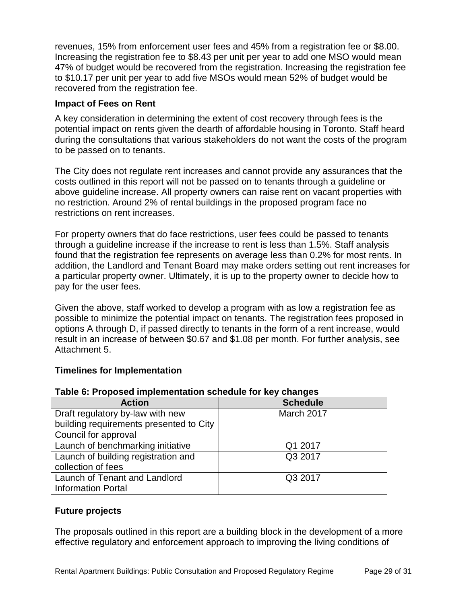revenues, 15% from enforcement user fees and 45% from a registration fee or \$8.00. Increasing the registration fee to \$8.43 per unit per year to add one MSO would mean 47% of budget would be recovered from the registration. Increasing the registration fee to \$10.17 per unit per year to add five MSOs would mean 52% of budget would be recovered from the registration fee.

#### **Impact of Fees on Rent**

A key consideration in determining the extent of cost recovery through fees is the potential impact on rents given the dearth of affordable housing in Toronto. Staff heard during the consultations that various stakeholders do not want the costs of the program to be passed on to tenants.

The City does not regulate rent increases and cannot provide any assurances that the costs outlined in this report will not be passed on to tenants through a guideline or above guideline increase. All property owners can raise rent on vacant properties with no restriction. Around 2% of rental buildings in the proposed program face no restrictions on rent increases.

For property owners that do face restrictions, user fees could be passed to tenants through a guideline increase if the increase to rent is less than 1.5%. Staff analysis found that the registration fee represents on average less than 0.2% for most rents. In addition, the Landlord and Tenant Board may make orders setting out rent increases for a particular property owner. Ultimately, it is up to the property owner to decide how to pay for the user fees.

Given the above, staff worked to develop a program with as low a registration fee as possible to minimize the potential impact on tenants. The registration fees proposed in options A through D, if passed directly to tenants in the form of a rent increase, would result in an increase of between \$0.67 and \$1.08 per month. For further analysis, see Attachment 5.

#### **Timelines for Implementation**

#### **Table 6: Proposed implementation schedule for key changes**

| <b>Action</b>                           | <b>Schedule</b> |
|-----------------------------------------|-----------------|
| Draft regulatory by-law with new        | March 2017      |
| building requirements presented to City |                 |
| Council for approval                    |                 |
| Launch of benchmarking initiative       | Q1 2017         |
| Launch of building registration and     | Q3 2017         |
| collection of fees                      |                 |
| Launch of Tenant and Landlord           | Q3 2017         |
| <b>Information Portal</b>               |                 |

#### **Future projects**

The proposals outlined in this report are a building block in the development of a more effective regulatory and enforcement approach to improving the living conditions of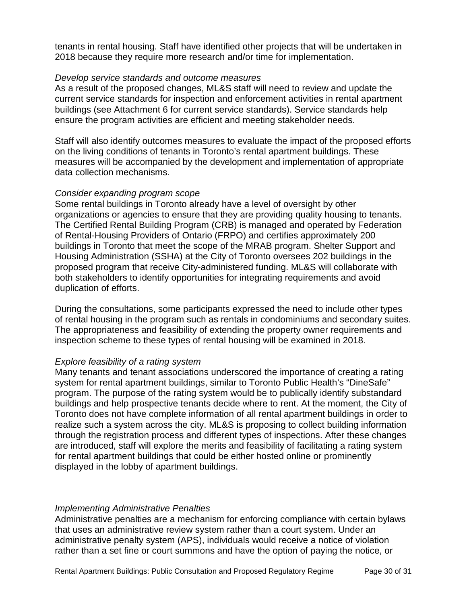tenants in rental housing. Staff have identified other projects that will be undertaken in 2018 because they require more research and/or time for implementation.

#### *Develop service standards and outcome measures*

As a result of the proposed changes, ML&S staff will need to review and update the current service standards for inspection and enforcement activities in rental apartment buildings (see Attachment 6 for current service standards). Service standards help ensure the program activities are efficient and meeting stakeholder needs.

Staff will also identify outcomes measures to evaluate the impact of the proposed efforts on the living conditions of tenants in Toronto's rental apartment buildings. These measures will be accompanied by the development and implementation of appropriate data collection mechanisms.

#### *Consider expanding program scope*

Some rental buildings in Toronto already have a level of oversight by other organizations or agencies to ensure that they are providing quality housing to tenants. The Certified Rental Building Program (CRB) is managed and operated by Federation of Rental-Housing Providers of Ontario (FRPO) and certifies approximately 200 buildings in Toronto that meet the scope of the MRAB program. Shelter Support and Housing Administration (SSHA) at the City of Toronto oversees 202 buildings in the proposed program that receive City-administered funding. ML&S will collaborate with both stakeholders to identify opportunities for integrating requirements and avoid duplication of efforts.

During the consultations, some participants expressed the need to include other types of rental housing in the program such as rentals in condominiums and secondary suites. The appropriateness and feasibility of extending the property owner requirements and inspection scheme to these types of rental housing will be examined in 2018.

#### *Explore feasibility of a rating system*

Many tenants and tenant associations underscored the importance of creating a rating system for rental apartment buildings, similar to Toronto Public Health's "DineSafe" program. The purpose of the rating system would be to publically identify substandard buildings and help prospective tenants decide where to rent. At the moment, the City of Toronto does not have complete information of all rental apartment buildings in order to realize such a system across the city. ML&S is proposing to collect building information through the registration process and different types of inspections. After these changes are introduced, staff will explore the merits and feasibility of facilitating a rating system for rental apartment buildings that could be either hosted online or prominently displayed in the lobby of apartment buildings.

#### *Implementing Administrative Penalties*

Administrative penalties are a mechanism for enforcing compliance with certain bylaws that uses an [administrative review system](https://www.thestar.com/opinion/editorials/2015/03/09/lets-try-settling-traffic-ticket-disputes-online-instead-of-in-court-editorial.html) rather than a court system. Under an administrative penalty system (APS), individuals would receive a notice of violation rather than a set fine or court summons and have the option of paying the notice, or